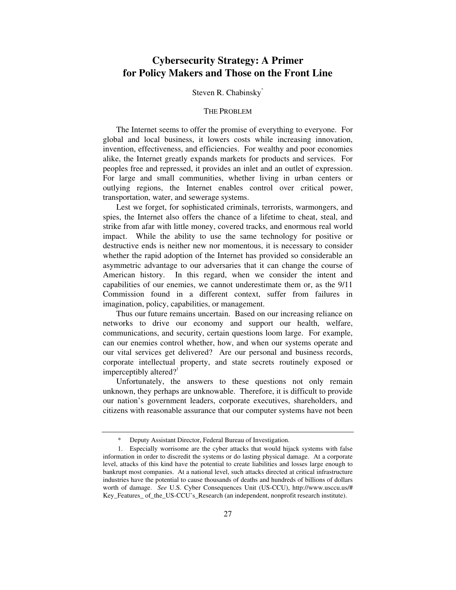# **Cybersecurity Strategy: A Primer for Policy Makers and Those on the Front Line**

#### Steven R. Chabinsky\*

#### THE PROBLEM

The Internet seems to offer the promise of everything to everyone. For global and local business, it lowers costs while increasing innovation, invention, effectiveness, and efficiencies. For wealthy and poor economies alike, the Internet greatly expands markets for products and services. For peoples free and repressed, it provides an inlet and an outlet of expression. For large and small communities, whether living in urban centers or outlying regions, the Internet enables control over critical power, transportation, water, and sewerage systems.

Lest we forget, for sophisticated criminals, terrorists, warmongers, and spies, the Internet also offers the chance of a lifetime to cheat, steal, and strike from afar with little money, covered tracks, and enormous real world impact. While the ability to use the same technology for positive or destructive ends is neither new nor momentous, it is necessary to consider whether the rapid adoption of the Internet has provided so considerable an asymmetric advantage to our adversaries that it can change the course of American history. In this regard, when we consider the intent and capabilities of our enemies, we cannot underestimate them or, as the 9/11 Commission found in a different context, suffer from failures in imagination, policy, capabilities, or management.

Thus our future remains uncertain. Based on our increasing reliance on networks to drive our economy and support our health, welfare, communications, and security, certain questions loom large. For example, can our enemies control whether, how, and when our systems operate and our vital services get delivered? Are our personal and business records, corporate intellectual property, and state secrets routinely exposed or imperceptibly altered? $1$ 

Unfortunately, the answers to these questions not only remain unknown, they perhaps are unknowable. Therefore, it is difficult to provide our nation's government leaders, corporate executives, shareholders, and citizens with reasonable assurance that our computer systems have not been

<sup>\*</sup> Deputy Assistant Director, Federal Bureau of Investigation.

<sup>1.</sup> Especially worrisome are the cyber attacks that would hijack systems with false information in order to discredit the systems or do lasting physical damage. At a corporate level, attacks of this kind have the potential to create liabilities and losses large enough to bankrupt most companies. At a national level, such attacks directed at critical infrastructure industries have the potential to cause thousands of deaths and hundreds of billions of dollars worth of damage. *See* U.S. Cyber Consequences Unit (US-CCU), http://www.usccu.us/# Key\_Features\_ of\_the\_US-CCU's\_Research (an independent, nonprofit research institute).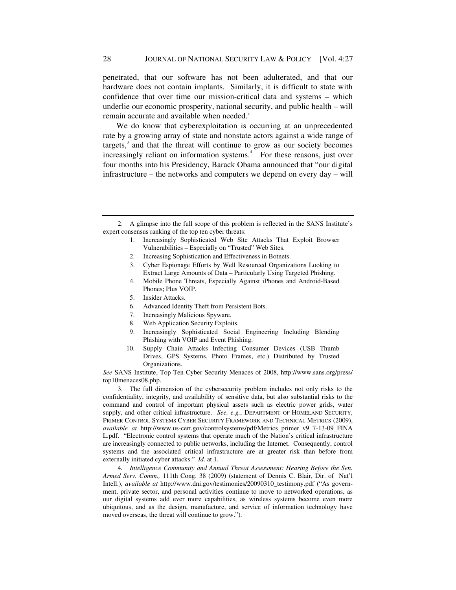penetrated, that our software has not been adulterated, and that our hardware does not contain implants. Similarly, it is difficult to state with confidence that over time our mission-critical data and systems – which underlie our economic prosperity, national security, and public health – will remain accurate and available when needed.<sup>2</sup>

We do know that cyberexploitation is occurring at an unprecedented rate by a growing array of state and nonstate actors against a wide range of targets, $3$  and that the threat will continue to grow as our society becomes increasingly reliant on information systems.<sup>4</sup> For these reasons, just over four months into his Presidency, Barack Obama announced that "our digital infrastructure – the networks and computers we depend on every day – will

- 1. Increasingly Sophisticated Web Site Attacks That Exploit Browser Vulnerabilities – Especially on "Trusted" Web Sites.
- 2. Increasing Sophistication and Effectiveness in Botnets.
- 3. Cyber Espionage Efforts by Well Resourced Organizations Looking to Extract Large Amounts of Data – Particularly Using Targeted Phishing.
- 4. Mobile Phone Threats, Especially Against iPhones and Android-Based Phones; Plus VOIP.
- 5. Insider Attacks.
- 6. Advanced Identity Theft from Persistent Bots.
- 7. Increasingly Malicious Spyware.
- 8. Web Application Security Exploits.
- 9. Increasingly Sophisticated Social Engineering Including Blending Phishing with VOIP and Event Phishing.
- 10. Supply Chain Attacks Infecting Consumer Devices (USB Thumb Drives, GPS Systems, Photo Frames, etc.) Distributed by Trusted Organizations.

*See* SANS Institute, Top Ten Cyber Security Menaces of 2008, http://www.sans.org/press/ top10menaces08.php.

3. The full dimension of the cybersecurity problem includes not only risks to the confidentiality, integrity, and availability of sensitive data, but also substantial risks to the command and control of important physical assets such as electric power grids, water supply, and other critical infrastructure. *See, e.g.*, DEPARTMENT OF HOMELAND SECURITY, PRIMER CONTROL SYSTEMS CYBER SECURITY FRAMEWORK AND TECHNICAL METRICS (2009), *available at* http://www.us-cert.gov/controlsystems/pdf/Metrics\_primer\_v9\_7-13-09\_FINA L.pdf. "Electronic control systems that operate much of the Nation's critical infrastructure are increasingly connected to public networks, including the Internet. Consequently, control systems and the associated critical infrastructure are at greater risk than before from externally initiated cyber attacks." *Id.* at 1.

4*. Intelligence Community and Annual Threat Assessment: Hearing Before the Sen. Armed Serv. Comm.,* 111th Cong. 38 (2009) (statement of Dennis C. Blair, Dir. of Nat'l Intell.), *available at* http://www.dni.gov/testimonies/20090310\_testimony.pdf ("As government, private sector, and personal activities continue to move to networked operations, as our digital systems add ever more capabilities, as wireless systems become even more ubiquitous, and as the design, manufacture, and service of information technology have moved overseas, the threat will continue to grow.").

<sup>2.</sup> A glimpse into the full scope of this problem is reflected in the SANS Institute's expert consensus ranking of the top ten cyber threats: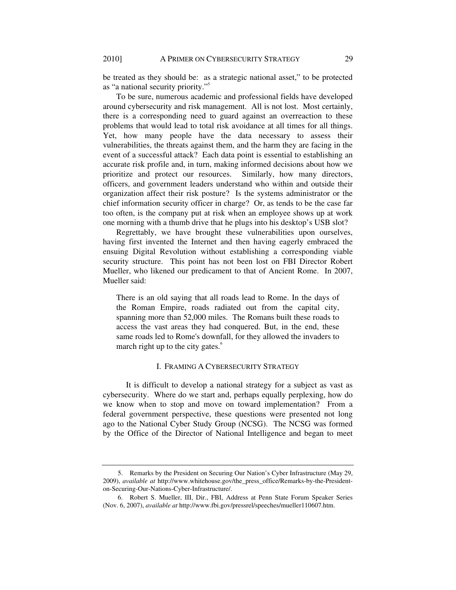be treated as they should be: as a strategic national asset," to be protected as "a national security priority."5

To be sure, numerous academic and professional fields have developed around cybersecurity and risk management. All is not lost. Most certainly, there is a corresponding need to guard against an overreaction to these problems that would lead to total risk avoidance at all times for all things. Yet, how many people have the data necessary to assess their vulnerabilities, the threats against them, and the harm they are facing in the event of a successful attack? Each data point is essential to establishing an accurate risk profile and, in turn, making informed decisions about how we prioritize and protect our resources. Similarly, how many directors, officers, and government leaders understand who within and outside their organization affect their risk posture? Is the systems administrator or the chief information security officer in charge? Or, as tends to be the case far too often, is the company put at risk when an employee shows up at work one morning with a thumb drive that he plugs into his desktop's USB slot?

Regrettably, we have brought these vulnerabilities upon ourselves, having first invented the Internet and then having eagerly embraced the ensuing Digital Revolution without establishing a corresponding viable security structure. This point has not been lost on FBI Director Robert Mueller, who likened our predicament to that of Ancient Rome. In 2007, Mueller said:

There is an old saying that all roads lead to Rome. In the days of the Roman Empire, roads radiated out from the capital city, spanning more than 52,000 miles. The Romans built these roads to access the vast areas they had conquered. But, in the end, these same roads led to Rome's downfall, for they allowed the invaders to march right up to the city gates. $6$ 

### I. FRAMING A CYBERSECURITY STRATEGY

 It is difficult to develop a national strategy for a subject as vast as cybersecurity. Where do we start and, perhaps equally perplexing, how do we know when to stop and move on toward implementation? From a federal government perspective, these questions were presented not long ago to the National Cyber Study Group (NCSG). The NCSG was formed by the Office of the Director of National Intelligence and began to meet

<sup>5.</sup> Remarks by the President on Securing Our Nation's Cyber Infrastructure (May 29, 2009), *available at* http://www.whitehouse.gov/the\_press\_office/Remarks-by-the-Presidenton-Securing-Our-Nations-Cyber-Infrastructure/.

<sup>6.</sup> Robert S. Mueller, III, Dir., FBI, Address at Penn State Forum Speaker Series (Nov. 6, 2007), *available at* http://www.fbi.gov/pressrel/speeches/mueller110607.htm.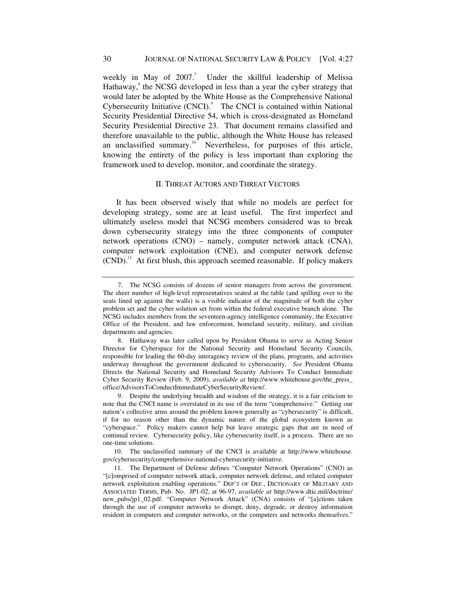weekly in May of 2007.<sup>7</sup> Under the skillful leadership of Melissa Hathaway,<sup>8</sup> the NCSG developed in less than a year the cyber strategy that would later be adopted by the White House as the Comprehensive National Cybersecurity Initiative (CNCI).<sup>9</sup> The CNCI is contained within National Security Presidential Directive 54, which is cross-designated as Homeland Security Presidential Directive 23. That document remains classified and therefore unavailable to the public, although the White House has released an unclassified summary.<sup>10</sup> Nevertheless, for purposes of this article, knowing the entirety of the policy is less important than exploring the framework used to develop, monitor, and coordinate the strategy.

## II. THREAT ACTORS AND THREAT VECTORS

It has been observed wisely that while no models are perfect for developing strategy, some are at least useful. The first imperfect and ultimately useless model that NCSG members considered was to break down cybersecurity strategy into the three components of computer network operations (CNO) – namely, computer network attack (CNA), computer network exploitation (CNE), and computer network defense  $(CND)$ .<sup>11</sup> At first blush, this approach seemed reasonable. If policy makers

 10. The unclassified summary of the CNCI is available at http://www.whitehouse. gov/cybersecurity/comprehensive-national-cybersecurity-initiative.

<sup>7.</sup> The NCSG consists of dozens of senior managers from across the government. The sheer number of high-level representatives seated at the table (and spilling over to the seats lined up against the walls) is a visible indicator of the magnitude of both the cyber problem set and the cyber solution set from within the federal executive branch alone. The NCSG includes members from the seventeen-agency intelligence community, the Executive Office of the President, and law enforcement, homeland security, military, and civilian departments and agencies.

<sup>8.</sup> Hathaway was later called upon by President Obama to serve as Acting Senior Director for Cyberspace for the National Security and Homeland Security Councils, responsible for leading the 60-day interagency review of the plans, programs, and activities underway throughout the government dedicated to cybersecurity. *See* President Obama Directs the National Security and Homeland Security Advisors To Conduct Immediate Cyber Security Review (Feb. 9, 2009), *available at* http://www.whitehouse.gov/the\_press\_ office/AdvisorsToConductImmediateCyberSecurityReview/.

<sup>9.</sup> Despite the underlying breadth and wisdom of the strategy, it is a fair criticism to note that the CNCI name is overstated in its use of the term "comprehensive." Getting our nation's collective arms around the problem known generally as "cybersecurity" is difficult, if for no reason other than the dynamic nature of the global ecosystem known as "cyberspace." Policy makers cannot help but leave strategic gaps that are in need of continual review. Cybersecurity policy, like cybersecurity itself, is a process. There are no one-time solutions.

 <sup>11.</sup> The Department of Defense defines "Computer Network Operations" (CNO) as "[c]omprised of computer network attack, computer network defense, and related computer network exploitation enabling operations." DEP'T OF DEF., DICTIONARY OF MILITARY AND ASSOCIATED TERMS, Pub. No. JP1-02, at 96-97, *available at* http://www.dtic.mil/doctrine/ new\_pubs/jp1\_02.pdf. "Computer Network Attack" (CNA) consists of "[a]ctions taken through the use of computer networks to disrupt, deny, degrade, or destroy information resident in computers and computer networks, or the computers and networks themselves."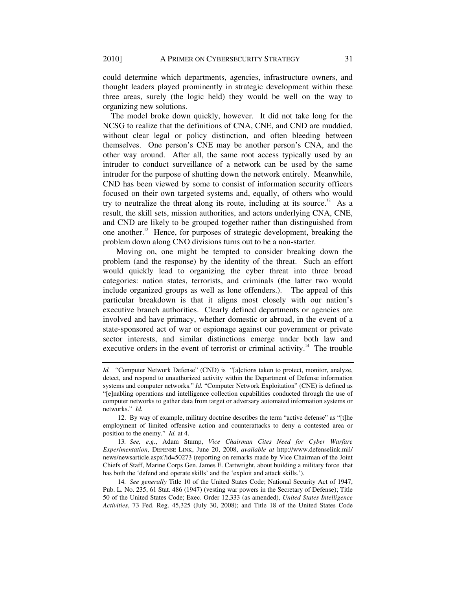could determine which departments, agencies, infrastructure owners, and thought leaders played prominently in strategic development within these three areas, surely (the logic held) they would be well on the way to organizing new solutions.

 The model broke down quickly, however. It did not take long for the NCSG to realize that the definitions of CNA, CNE, and CND are muddied, without clear legal or policy distinction, and often bleeding between themselves. One person's CNE may be another person's CNA, and the other way around. After all, the same root access typically used by an intruder to conduct surveillance of a network can be used by the same intruder for the purpose of shutting down the network entirely. Meanwhile, CND has been viewed by some to consist of information security officers focused on their own targeted systems and, equally, of others who would try to neutralize the threat along its route, including at its source.<sup>12</sup> As a result, the skill sets, mission authorities, and actors underlying CNA, CNE, and CND are likely to be grouped together rather than distinguished from one another.13 Hence, for purposes of strategic development, breaking the problem down along CNO divisions turns out to be a non-starter.

Moving on, one might be tempted to consider breaking down the problem (and the response) by the identity of the threat. Such an effort would quickly lead to organizing the cyber threat into three broad categories: nation states, terrorists, and criminals (the latter two would include organized groups as well as lone offenders.). The appeal of this particular breakdown is that it aligns most closely with our nation's executive branch authorities. Clearly defined departments or agencies are involved and have primacy, whether domestic or abroad, in the event of a state-sponsored act of war or espionage against our government or private sector interests, and similar distinctions emerge under both law and executive orders in the event of terrorist or criminal activity.<sup>14</sup> The trouble

14*. See generally* Title 10 of the United States Code; National Security Act of 1947, Pub. L. No. 235, 61 Stat. 486 (1947) (vesting war powers in the Secretary of Defense); Title 50 of the United States Code; Exec. Order 12,333 (as amended), *United States Intelligence Activities*, 73 Fed. Reg. 45,325 (July 30, 2008); and Title 18 of the United States Code

*Id.* "Computer Network Defense" (CND) is "[a]ctions taken to protect, monitor, analyze, detect, and respond to unauthorized activity within the Department of Defense information systems and computer networks." *Id.* "Computer Network Exploitation" (CNE) is defined as "[e]nabling operations and intelligence collection capabilities conducted through the use of computer networks to gather data from target or adversary automated information systems or networks." *Id.*

<sup>12.</sup> By way of example, military doctrine describes the term "active defense" as "[t]he employment of limited offensive action and counterattacks to deny a contested area or position to the enemy." *Id.* at 4.

<sup>13</sup>*. See, e.g.*, Adam Stump, *Vice Chairman Cites Need for Cyber Warfare Experimentation*, DEFENSE LINK, June 20, 2008, *available at* http://www.defenselink.mil/ news/newsarticle.aspx?id=50273 (reporting on remarks made by Vice Chairman of the Joint Chiefs of Staff, Marine Corps Gen. James E. Cartwright, about building a military force that has both the 'defend and operate skills' and the 'exploit and attack skills.').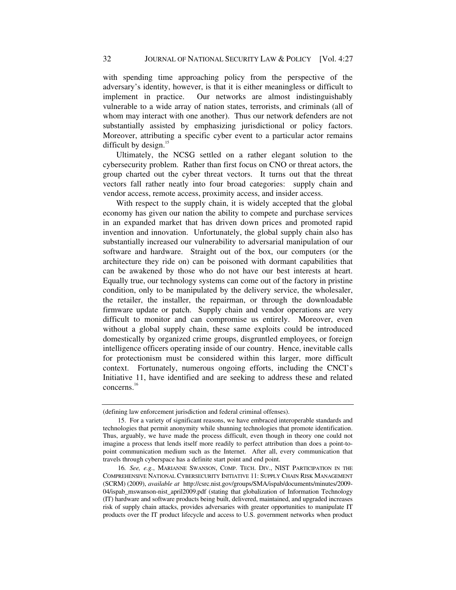with spending time approaching policy from the perspective of the adversary's identity, however, is that it is either meaningless or difficult to implement in practice. Our networks are almost indistinguishably vulnerable to a wide array of nation states, terrorists, and criminals (all of whom may interact with one another). Thus our network defenders are not substantially assisted by emphasizing jurisdictional or policy factors. Moreover, attributing a specific cyber event to a particular actor remains difficult by design. $15$ 

Ultimately, the NCSG settled on a rather elegant solution to the cybersecurity problem. Rather than first focus on CNO or threat actors, the group charted out the cyber threat vectors. It turns out that the threat vectors fall rather neatly into four broad categories: supply chain and vendor access, remote access, proximity access, and insider access.

With respect to the supply chain, it is widely accepted that the global economy has given our nation the ability to compete and purchase services in an expanded market that has driven down prices and promoted rapid invention and innovation. Unfortunately, the global supply chain also has substantially increased our vulnerability to adversarial manipulation of our software and hardware. Straight out of the box, our computers (or the architecture they ride on) can be poisoned with dormant capabilities that can be awakened by those who do not have our best interests at heart. Equally true, our technology systems can come out of the factory in pristine condition, only to be manipulated by the delivery service, the wholesaler, the retailer, the installer, the repairman, or through the downloadable firmware update or patch. Supply chain and vendor operations are very difficult to monitor and can compromise us entirely. Moreover, even without a global supply chain, these same exploits could be introduced domestically by organized crime groups, disgruntled employees, or foreign intelligence officers operating inside of our country. Hence, inevitable calls for protectionism must be considered within this larger, more difficult context. Fortunately, numerous ongoing efforts, including the CNCI's Initiative 11, have identified and are seeking to address these and related concerns.<sup>16</sup>

<sup>(</sup>defining law enforcement jurisdiction and federal criminal offenses).

<sup>15.</sup> For a variety of significant reasons, we have embraced interoperable standards and technologies that permit anonymity while shunning technologies that promote identification. Thus, arguably, we have made the process difficult, even though in theory one could not imagine a process that lends itself more readily to perfect attribution than does a point-topoint communication medium such as the Internet. After all, every communication that travels through cyberspace has a definite start point and end point.

<sup>16</sup>*. See, e.g.*, MARIANNE SWANSON, COMP. TECH. DIV., NIST PARTICIPATION IN THE COMPREHENSIVE NATIONAL CYBERSECURITY INITIATIVE 11: SUPPLY CHAIN RISK MANAGEMENT (SCRM) (2009), *available at* http://csrc.nist.gov/groups/SMA/ispab/documents/minutes/2009- 04/ispab\_mswanson-nist\_april2009.pdf (stating that globalization of Information Technology (IT) hardware and software products being built, delivered, maintained, and upgraded increases risk of supply chain attacks, provides adversaries with greater opportunities to manipulate IT products over the IT product lifecycle and access to U.S. government networks when product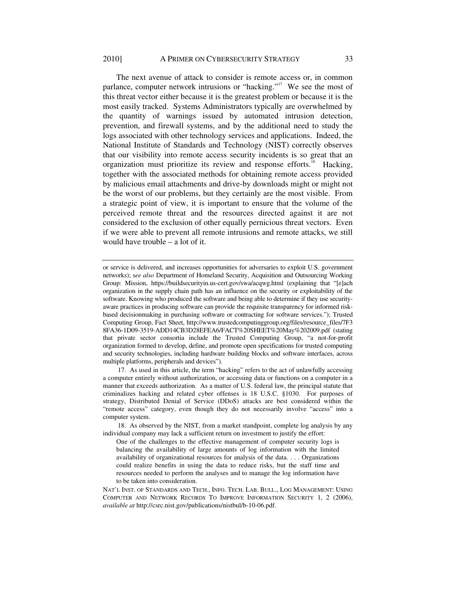The next avenue of attack to consider is remote access or, in common parlance, computer network intrusions or "hacking."<sup>17</sup> We see the most of this threat vector either because it is the greatest problem or because it is the most easily tracked. Systems Administrators typically are overwhelmed by the quantity of warnings issued by automated intrusion detection, prevention, and firewall systems, and by the additional need to study the logs associated with other technology services and applications. Indeed, the National Institute of Standards and Technology (NIST) correctly observes that our visibility into remote access security incidents is so great that an organization must prioritize its review and response efforts.<sup>18</sup> Hacking, together with the associated methods for obtaining remote access provided by malicious email attachments and drive-by downloads might or might not be the worst of our problems, but they certainly are the most visible. From a strategic point of view, it is important to ensure that the volume of the perceived remote threat and the resources directed against it are not considered to the exclusion of other equally pernicious threat vectors. Even if we were able to prevent all remote intrusions and remote attacks, we still would have trouble – a lot of it.

or service is delivered, and increases opportunities for adversaries to exploit U.S. government networks); s*ee also* Department of Homeland Security, Acquisition and Outsourcing Working Group: Mission, https://buildsecurityin.us-cert.gov/swa/acqwg.html (explaining that "[e]ach organization in the supply chain path has an influence on the security or exploitability of the software. Knowing who produced the software and being able to determine if they use securityaware practices in producing software can provide the requisite transparency for informed riskbased decisionmaking in purchasing software or contracting for software services."); Trusted Computing Group, Fact Sheet, http://www.trustedcomputinggroup.org/files/resource\_files/7F3 8FA36-1D09-3519-ADD14CB3D28EFEA6/FACT%20SHEET%20May%202009.pdf (stating that private sector consortia include the Trusted Computing Group, "a not-for-profit organization formed to develop, define, and promote open specifications for trusted computing and security technologies, including hardware building blocks and software interfaces, across multiple platforms, peripherals and devices").

17. As used in this article, the term "hacking" refers to the act of unlawfully accessing a computer entirely without authorization, or accessing data or functions on a computer in a manner that exceeds authorization. As a matter of U.S. federal law, the principal statute that criminalizes hacking and related cyber offenses is 18 U.S.C. §1030. For purposes of strategy, Distributed Denial of Service (DDoS) attacks are best considered within the "remote access" category, even though they do not necessarily involve "access" into a computer system.

18. As observed by the NIST, from a market standpoint, complete log analysis by any individual company may lack a sufficient return on investment to justify the effort:

One of the challenges to the effective management of computer security logs is balancing the availability of large amounts of log information with the limited availability of organizational resources for analysis of the data. . . . Organizations could realize benefits in using the data to reduce risks, but the staff time and resources needed to perform the analyses and to manage the log information have to be taken into consideration.

NAT'L INST. OF STANDARDS AND TECH., INFO. TECH. LAB. BULL., LOG MANAGEMENT: USING COMPUTER AND NETWORK RECORDS TO IMPROVE INFORMATION SECURITY 1, 2 (2006), *available at* http://csrc.nist.gov/publications/nistbul/b-10-06.pdf.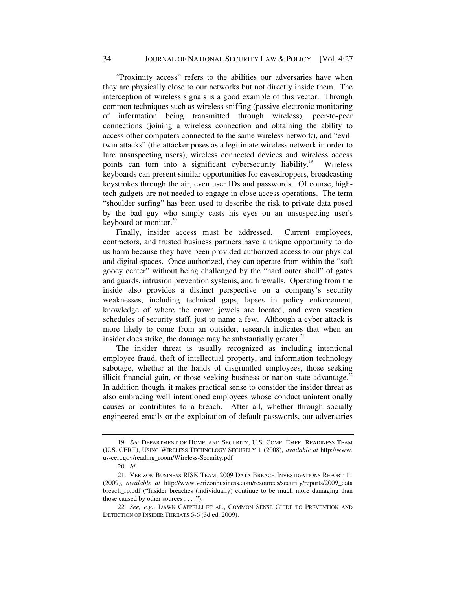"Proximity access" refers to the abilities our adversaries have when they are physically close to our networks but not directly inside them. The interception of wireless signals is a good example of this vector. Through common techniques such as wireless sniffing (passive electronic monitoring of information being transmitted through wireless), peer-to-peer connections (joining a wireless connection and obtaining the ability to access other computers connected to the same wireless network), and "eviltwin attacks" (the attacker poses as a legitimate wireless network in order to lure unsuspecting users), wireless connected devices and wireless access points can turn into a significant cybersecurity liability.<sup>19</sup> Wireless keyboards can present similar opportunities for eavesdroppers, broadcasting keystrokes through the air, even user IDs and passwords. Of course, hightech gadgets are not needed to engage in close access operations. The term "shoulder surfing" has been used to describe the risk to private data posed by the bad guy who simply casts his eyes on an unsuspecting user's keyboard or monitor. $20$ 

Finally, insider access must be addressed. Current employees, contractors, and trusted business partners have a unique opportunity to do us harm because they have been provided authorized access to our physical and digital spaces. Once authorized, they can operate from within the "soft gooey center" without being challenged by the "hard outer shell" of gates and guards, intrusion prevention systems, and firewalls. Operating from the inside also provides a distinct perspective on a company's security weaknesses, including technical gaps, lapses in policy enforcement, knowledge of where the crown jewels are located, and even vacation schedules of security staff, just to name a few. Although a cyber attack is more likely to come from an outsider, research indicates that when an insider does strike, the damage may be substantially greater. $21$ 

The insider threat is usually recognized as including intentional employee fraud, theft of intellectual property, and information technology sabotage, whether at the hands of disgruntled employees, those seeking illicit financial gain, or those seeking business or nation state advantage.<sup>22</sup> In addition though, it makes practical sense to consider the insider threat as also embracing well intentioned employees whose conduct unintentionally causes or contributes to a breach. After all, whether through socially engineered emails or the exploitation of default passwords, our adversaries

<sup>19</sup>*. See* DEPARTMENT OF HOMELAND SECURITY, U.S. COMP. EMER. READINESS TEAM (U.S. CERT), USING WIRELESS TECHNOLOGY SECURELY 1 (2008), *available at* http://www. us-cert.gov/reading\_room/Wireless-Security.pdf

<sup>20</sup>*. Id.*

<sup>21.</sup> VERIZON BUSINESS RISK TEAM, 2009 DATA BREACH INVESTIGATIONS REPORT 11 (2009), *available at* http://www.verizonbusiness.com/resources/security/reports/2009\_data breach\_rp.pdf ("Insider breaches (individually) continue to be much more damaging than those caused by other sources . . . .").

<sup>22</sup>*. See, e.g.*, DAWN CAPPELLI ET AL., COMMON SENSE GUIDE TO PREVENTION AND DETECTION OF INSIDER THREATS 5-6 (3d ed. 2009).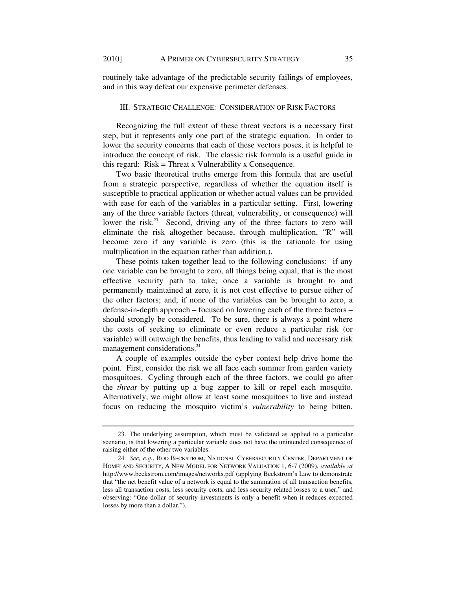routinely take advantage of the predictable security failings of employees, and in this way defeat our expensive perimeter defenses.

#### III. STRATEGIC CHALLENGE: CONSIDERATION OF RISK FACTORS

Recognizing the full extent of these threat vectors is a necessary first step, but it represents only one part of the strategic equation. In order to lower the security concerns that each of these vectors poses, it is helpful to introduce the concept of risk. The classic risk formula is a useful guide in this regard: Risk = Threat x Vulnerability x Consequence.

Two basic theoretical truths emerge from this formula that are useful from a strategic perspective, regardless of whether the equation itself is susceptible to practical application or whether actual values can be provided with ease for each of the variables in a particular setting. First, lowering any of the three variable factors (threat, vulnerability, or consequence) will lower the risk.<sup>23</sup> Second, driving any of the three factors to zero will eliminate the risk altogether because, through multiplication, "R" will become zero if any variable is zero (this is the rationale for using multiplication in the equation rather than addition.).

These points taken together lead to the following conclusions: if any one variable can be brought to zero, all things being equal, that is the most effective security path to take; once a variable is brought to and permanently maintained at zero, it is not cost effective to pursue either of the other factors; and, if none of the variables can be brought to zero, a defense-in-depth approach – focused on lowering each of the three factors – should strongly be considered. To be sure, there is always a point where the costs of seeking to eliminate or even reduce a particular risk (or variable) will outweigh the benefits, thus leading to valid and necessary risk management considerations.<sup>24</sup>

A couple of examples outside the cyber context help drive home the point. First, consider the risk we all face each summer from garden variety mosquitoes. Cycling through each of the three factors, we could go after the *threat* by putting up a bug zapper to kill or repel each mosquito. Alternatively, we might allow at least some mosquitoes to live and instead focus on reducing the mosquito victim's *vulnerability* to being bitten.

<sup>23.</sup> The underlying assumption, which must be validated as applied to a particular scenario, is that lowering a particular variable does not have the unintended consequence of raising either of the other two variables.

<sup>24</sup>*. See, e.g.*, ROD BECKSTROM, NATIONAL CYBERSECURITY CENTER, DEPARTMENT OF HOMELAND SECURITY, A NEW MODEL FOR NETWORK VALUATION 1, 6-7 (2009), *available at*  http://www.beckstrom.com/images/networks.pdf (applying Beckstrom's Law to demonstrate that "the net benefit value of a network is equal to the summation of all transaction benefits, less all transaction costs, less security costs, and less security related losses to a user," and observing: "One dollar of security investments is only a benefit when it reduces expected losses by more than a dollar.").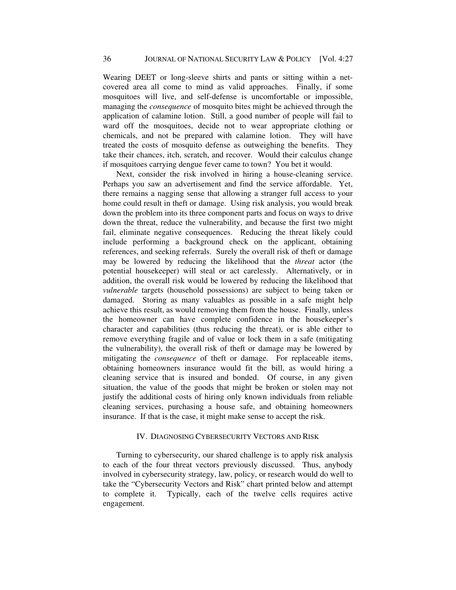Wearing DEET or long-sleeve shirts and pants or sitting within a netcovered area all come to mind as valid approaches. Finally, if some mosquitoes will live, and self-defense is uncomfortable or impossible, managing the *consequence* of mosquito bites might be achieved through the application of calamine lotion. Still, a good number of people will fail to ward off the mosquitoes, decide not to wear appropriate clothing or chemicals, and not be prepared with calamine lotion. They will have treated the costs of mosquito defense as outweighing the benefits. They take their chances, itch, scratch, and recover. Would their calculus change if mosquitoes carrying dengue fever came to town? You bet it would.

Next, consider the risk involved in hiring a house-cleaning service. Perhaps you saw an advertisement and find the service affordable. Yet, there remains a nagging sense that allowing a stranger full access to your home could result in theft or damage. Using risk analysis, you would break down the problem into its three component parts and focus on ways to drive down the threat, reduce the vulnerability, and because the first two might fail, eliminate negative consequences. Reducing the threat likely could include performing a background check on the applicant, obtaining references, and seeking referrals. Surely the overall risk of theft or damage may be lowered by reducing the likelihood that the *threat* actor (the potential housekeeper) will steal or act carelessly. Alternatively, or in addition, the overall risk would be lowered by reducing the likelihood that *vulnerable* targets (household possessions) are subject to being taken or damaged. Storing as many valuables as possible in a safe might help achieve this result, as would removing them from the house. Finally, unless the homeowner can have complete confidence in the housekeeper's character and capabilities (thus reducing the threat), or is able either to remove everything fragile and of value or lock them in a safe (mitigating the vulnerability), the overall risk of theft or damage may be lowered by mitigating the *consequence* of theft or damage. For replaceable items, obtaining homeowners insurance would fit the bill, as would hiring a cleaning service that is insured and bonded. Of course, in any given situation, the value of the goods that might be broken or stolen may not justify the additional costs of hiring only known individuals from reliable cleaning services, purchasing a house safe, and obtaining homeowners insurance. If that is the case, it might make sense to accept the risk.

#### IV. DIAGNOSING CYBERSECURITY VECTORS AND RISK

Turning to cybersecurity, our shared challenge is to apply risk analysis to each of the four threat vectors previously discussed. Thus, anybody involved in cybersecurity strategy, law, policy, or research would do well to take the "Cybersecurity Vectors and Risk" chart printed below and attempt to complete it. Typically, each of the twelve cells requires active engagement.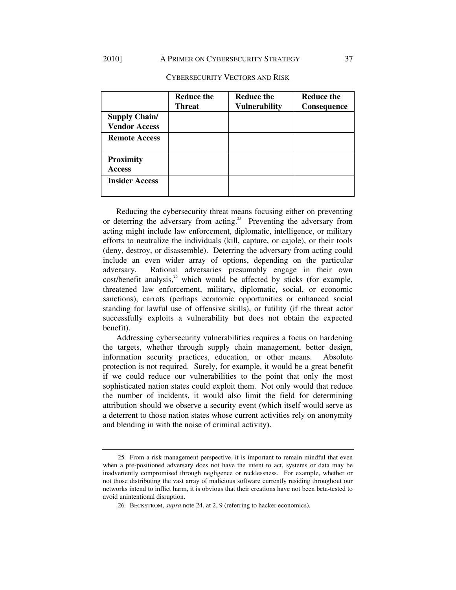|                       | <b>Reduce the</b><br>Threat | <b>Reduce the</b><br><b>Vulnerability</b> | <b>Reduce the</b><br>Consequence |
|-----------------------|-----------------------------|-------------------------------------------|----------------------------------|
|                       |                             |                                           |                                  |
| <b>Supply Chain/</b>  |                             |                                           |                                  |
| <b>Vendor Access</b>  |                             |                                           |                                  |
| <b>Remote Access</b>  |                             |                                           |                                  |
| <b>Proximity</b>      |                             |                                           |                                  |
| <b>Access</b>         |                             |                                           |                                  |
| <b>Insider Access</b> |                             |                                           |                                  |

#### CYBERSECURITY VECTORS AND RISK

Reducing the cybersecurity threat means focusing either on preventing or deterring the adversary from acting.<sup>25</sup> Preventing the adversary from acting might include law enforcement, diplomatic, intelligence, or military efforts to neutralize the individuals (kill, capture, or cajole), or their tools (deny, destroy, or disassemble). Deterring the adversary from acting could include an even wider array of options, depending on the particular adversary. Rational adversaries presumably engage in their own  $cost/benefit$  analysis, $26$  which would be affected by sticks (for example, threatened law enforcement, military, diplomatic, social, or economic sanctions), carrots (perhaps economic opportunities or enhanced social standing for lawful use of offensive skills), or futility (if the threat actor successfully exploits a vulnerability but does not obtain the expected benefit).

Addressing cybersecurity vulnerabilities requires a focus on hardening the targets, whether through supply chain management, better design, information security practices, education, or other means. Absolute protection is not required. Surely, for example, it would be a great benefit if we could reduce our vulnerabilities to the point that only the most sophisticated nation states could exploit them. Not only would that reduce the number of incidents, it would also limit the field for determining attribution should we observe a security event (which itself would serve as a deterrent to those nation states whose current activities rely on anonymity and blending in with the noise of criminal activity).

<sup>25</sup>*.* From a risk management perspective, it is important to remain mindful that even when a pre-positioned adversary does not have the intent to act, systems or data may be inadvertently compromised through negligence or recklessness. For example, whether or not those distributing the vast array of malicious software currently residing throughout our networks intend to inflict harm, it is obvious that their creations have not been beta-tested to avoid unintentional disruption.

<sup>26</sup>*.* BECKSTROM, *supra* note 24, at 2, 9 (referring to hacker economics).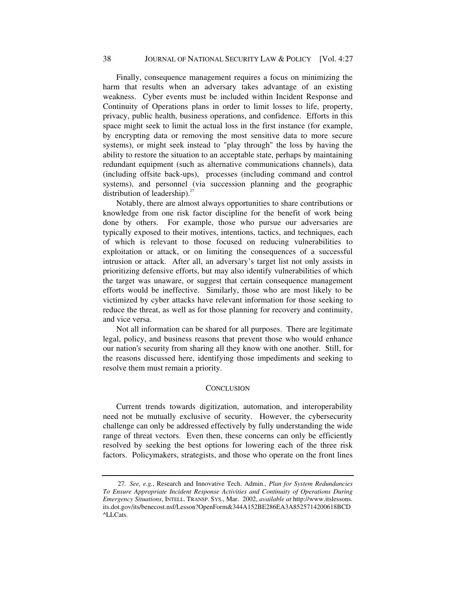Finally, consequence management requires a focus on minimizing the harm that results when an adversary takes advantage of an existing weakness. Cyber events must be included within Incident Response and Continuity of Operations plans in order to limit losses to life, property, privacy, public health, business operations, and confidence. Efforts in this space might seek to limit the actual loss in the first instance (for example, by encrypting data or removing the most sensitive data to more secure systems), or might seek instead to "play through" the loss by having the ability to restore the situation to an acceptable state, perhaps by maintaining redundant equipment (such as alternative communications channels), data (including offsite back-ups), processes (including command and control systems), and personnel (via succession planning and the geographic distribution of leadership). $^{27}$ 

Notably, there are almost always opportunities to share contributions or knowledge from one risk factor discipline for the benefit of work being done by others. For example, those who pursue our adversaries are typically exposed to their motives, intentions, tactics, and techniques, each of which is relevant to those focused on reducing vulnerabilities to exploitation or attack, or on limiting the consequences of a successful intrusion or attack. After all, an adversary's target list not only assists in prioritizing defensive efforts, but may also identify vulnerabilities of which the target was unaware, or suggest that certain consequence management efforts would be ineffective. Similarly, those who are most likely to be victimized by cyber attacks have relevant information for those seeking to reduce the threat, as well as for those planning for recovery and continuity, and vice versa.

Not all information can be shared for all purposes. There are legitimate legal, policy, and business reasons that prevent those who would enhance our nation's security from sharing all they know with one another. Still, for the reasons discussed here, identifying those impediments and seeking to resolve them must remain a priority.

#### **CONCLUSION**

Current trends towards digitization, automation, and interoperability need not be mutually exclusive of security. However, the cybersecurity challenge can only be addressed effectively by fully understanding the wide range of threat vectors. Even then, these concerns can only be efficiently resolved by seeking the best options for lowering each of the three risk factors. Policymakers, strategists, and those who operate on the front lines

<sup>27</sup>*. See, e.g.*, Research and Innovative Tech. Admin., *Plan for System Redundancies To Ensure Appropriate Incident Response Activities and Continuity of Operations During Emergency Situations*, INTELL. TRANSP. SYS., Mar. 2002, *available at* http://www.itslessons. its.dot.gov/its/benecost.nsf/Lesson?OpenForm&344A152BE286EA3A8525714200618BCD ^LLCats.